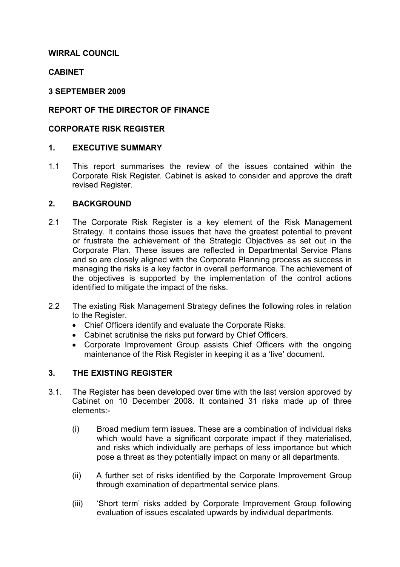# WIRRAL COUNCIL

# **CABINET**

#### 3 SEPTEMBER 2009

# REPORT OF THE DIRECTOR OF FINANCE

### CORPORATE RISK REGISTER

# 1. EXECUTIVE SUMMARY

1.1 This report summarises the review of the issues contained within the Corporate Risk Register. Cabinet is asked to consider and approve the draft revised Register.

#### 2. BACKGROUND

- 2.1 The Corporate Risk Register is a key element of the Risk Management Strategy. It contains those issues that have the greatest potential to prevent or frustrate the achievement of the Strategic Objectives as set out in the Corporate Plan. These issues are reflected in Departmental Service Plans and so are closely aligned with the Corporate Planning process as success in managing the risks is a key factor in overall performance. The achievement of the objectives is supported by the implementation of the control actions identified to mitigate the impact of the risks.
- 2.2 The existing Risk Management Strategy defines the following roles in relation to the Register.
	- Chief Officers identify and evaluate the Corporate Risks.
	- Cabinet scrutinise the risks put forward by Chief Officers.
	- Corporate Improvement Group assists Chief Officers with the ongoing maintenance of the Risk Register in keeping it as a 'live' document.

#### 3. THE EXISTING REGISTER

- 3.1. The Register has been developed over time with the last version approved by Cabinet on 10 December 2008. It contained 31 risks made up of three elements:-
	- (i) Broad medium term issues. These are a combination of individual risks which would have a significant corporate impact if they materialised, and risks which individually are perhaps of less importance but which pose a threat as they potentially impact on many or all departments.
	- (ii) A further set of risks identified by the Corporate Improvement Group through examination of departmental service plans.
	- (iii) 'Short term' risks added by Corporate Improvement Group following evaluation of issues escalated upwards by individual departments.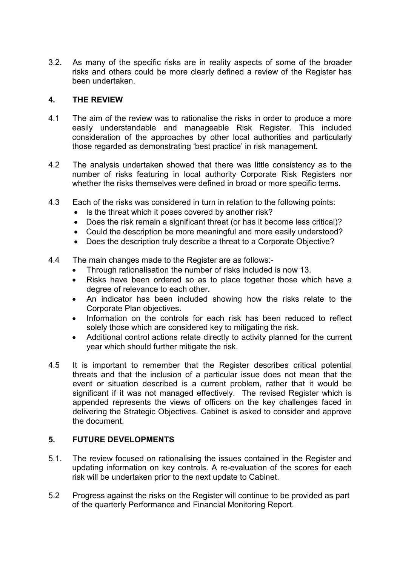3.2. As many of the specific risks are in reality aspects of some of the broader risks and others could be more clearly defined a review of the Register has been undertaken.

### 4. THE REVIEW

- 4.1 The aim of the review was to rationalise the risks in order to produce a more easily understandable and manageable Risk Register. This included consideration of the approaches by other local authorities and particularly those regarded as demonstrating 'best practice' in risk management.
- 4.2 The analysis undertaken showed that there was little consistency as to the number of risks featuring in local authority Corporate Risk Registers nor whether the risks themselves were defined in broad or more specific terms.
- 4.3 Each of the risks was considered in turn in relation to the following points:
	- Is the threat which it poses covered by another risk?
	- Does the risk remain a significant threat (or has it become less critical)?
	- Could the description be more meaningful and more easily understood?
	- Does the description truly describe a threat to a Corporate Objective?
- 4.4 The main changes made to the Register are as follows:-
	- Through rationalisation the number of risks included is now 13.
	- Risks have been ordered so as to place together those which have a degree of relevance to each other.
	- An indicator has been included showing how the risks relate to the Corporate Plan objectives.
	- Information on the controls for each risk has been reduced to reflect solely those which are considered key to mitigating the risk.
	- Additional control actions relate directly to activity planned for the current year which should further mitigate the risk.
- 4.5 It is important to remember that the Register describes critical potential threats and that the inclusion of a particular issue does not mean that the event or situation described is a current problem, rather that it would be significant if it was not managed effectively. The revised Register which is appended represents the views of officers on the key challenges faced in delivering the Strategic Objectives. Cabinet is asked to consider and approve the document.

# 5. FUTURE DEVELOPMENTS

- 5.1. The review focused on rationalising the issues contained in the Register and updating information on key controls. A re-evaluation of the scores for each risk will be undertaken prior to the next update to Cabinet.
- 5.2 Progress against the risks on the Register will continue to be provided as part of the quarterly Performance and Financial Monitoring Report.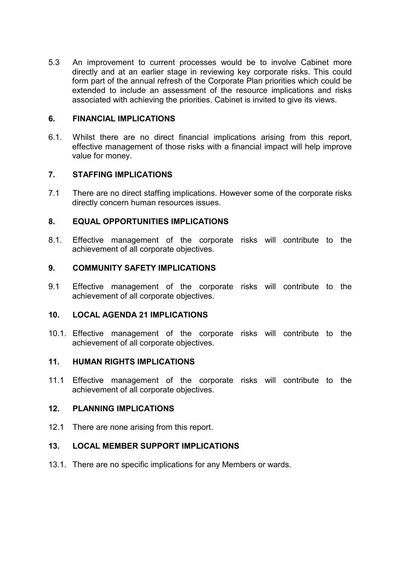5.3 An improvement to current processes would be to involve Cabinet more directly and at an earlier stage in reviewing key corporate risks. This could form part of the annual refresh of the Corporate Plan priorities which could be extended to include an assessment of the resource implications and risks associated with achieving the priorities. Cabinet is invited to give its views.

# 6. FINANCIAL IMPLICATIONS

6.1. Whilst there are no direct financial implications arising from this report, effective management of those risks with a financial impact will help improve value for money.

# 7. STAFFING IMPLICATIONS

7.1 There are no direct staffing implications. However some of the corporate risks directly concern human resources issues.

# 8. EQUAL OPPORTUNITIES IMPLICATIONS

8.1. Effective management of the corporate risks will contribute to the achievement of all corporate objectives.

#### 9. COMMUNITY SAFETY IMPLICATIONS

9.1 Effective management of the corporate risks will contribute to the achievement of all corporate objectives.

#### 10. LOCAL AGENDA 21 IMPLICATIONS

10.1. Effective management of the corporate risks will contribute to the achievement of all corporate objectives.

#### 11. HUMAN RIGHTS IMPLICATIONS

11.1 Effective management of the corporate risks will contribute to the achievement of all corporate objectives.

#### 12. PLANNING IMPLICATIONS

12.1 There are none arising from this report.

#### 13. LOCAL MEMBER SUPPORT IMPLICATIONS

13.1. There are no specific implications for any Members or wards.